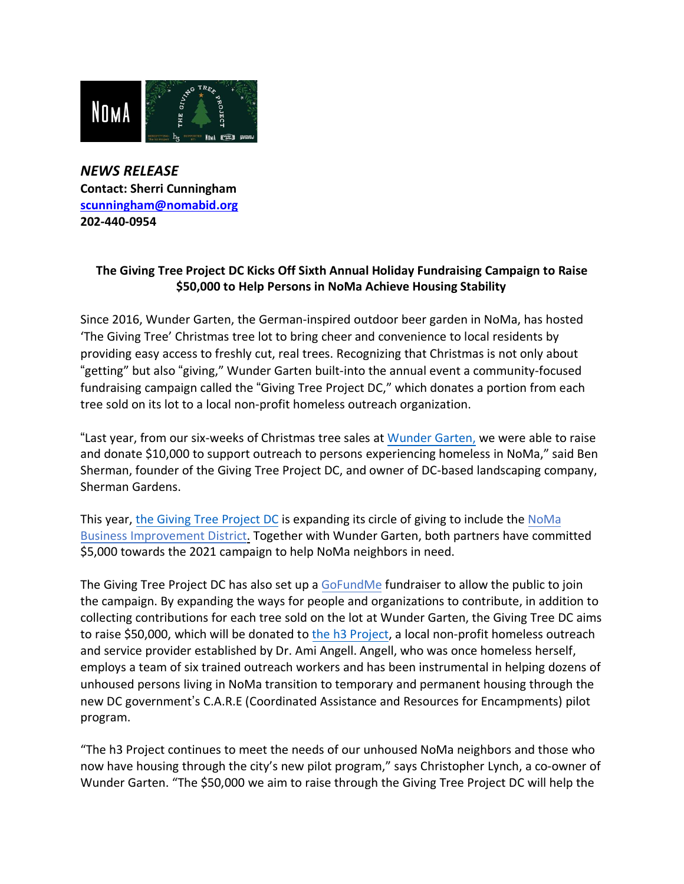

*NEWS RELEASE* **Contact: Sherri Cunningham [scunningham@nomabid.org](mailto:scunningham@nomabid.org) 202-440-0954**

## **The Giving Tree Project DC Kicks Off Sixth Annual Holiday Fundraising Campaign to Raise \$50,000 to Help Persons in NoMa Achieve Housing Stability**

Since 2016, Wunder Garten, the German-inspired outdoor beer garden in NoMa, has hosted 'The Giving Tree' Christmas tree lot to bring cheer and convenience to local residents by providing easy access to freshly cut, real trees. Recognizing that Christmas is not only about "getting" but also "giving," Wunder Garten built-into the annual event a community-focused fundraising campaign called the "Giving Tree Project DC," which donates a portion from each tree sold on its lot to a local non-profit homeless outreach organization.

"Last year, from our six-weeks of Christmas tree sales at [Wunder Garten,](https://www.wundergartendc.com/community) we were able to raise and donate \$10,000 to support outreach to persons experiencing homeless in NoMa," said Ben Sherman, founder of the Giving Tree Project DC, and owner of DC-based landscaping company, Sherman Gardens.

This year, [the Giving Tree Project DC](https://givingtree.business.site/%23summary) is expanding its circle of giving to include the [NoMa](https://www.nomabid.org/) [Business Improvement District.](https://www.nomabid.org/) Together with [Wunder Garten,](https://www.wundergartendc.com/) both partners have committed \$5,000 towards the 2021 campaign to help NoMa neighbors in need.

The Giving Tree Project DC has also set up a [GoFundMe](https://www.gofundme.com/f/vx6b3q-the-giving-tree-project) fundraiser to allow the public to join the campaign. By expanding the ways for people and organizations to contribute, in addition to collecting contributions for each tree sold on the lot at Wunder Garten, the Giving Tree DC aims to raise \$50,000, which will be donated to the h3 [Project,](https://h3projectdc.org/) a local non-profit homeless outreach and service provider established by Dr. Ami Angell. Angell, who was once homeless herself, employs a team of six trained outreach workers and has been instrumental in helping dozens of unhoused persons living in NoMa transition to temporary and permanent housing through the new DC government's C.A.R.E (Coordinated Assistance and Resources for Encampments) pilot program.

"The h3 Project continues to meet the needs of our unhoused NoMa neighbors and those who now have housing through the city's new pilot program," says Christopher Lynch, a co-owner of Wunder Garten. "The \$50,000 we aim to raise through the Giving Tree Project DC will help the